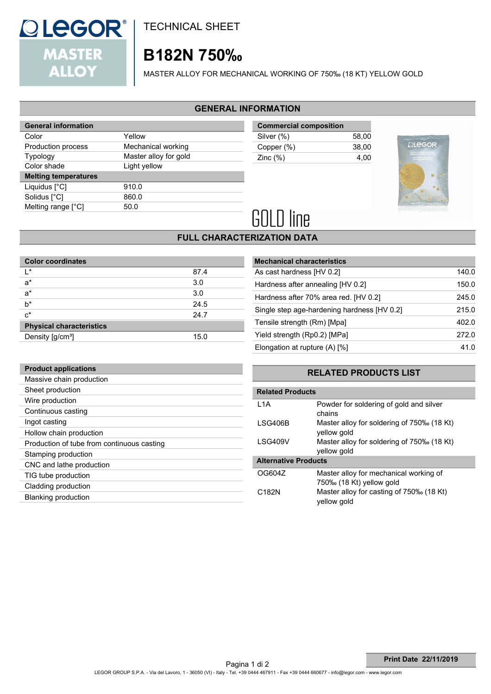

**TECHNICAL SHEET** 

## **B182N 750‰**

MASTER ALLOY FOR MECHANICAL WORKING OF 750‰ (18 KT) YELLOW GOLD

#### **GENERAL INFORMATION**

| <b>General information</b>  |                       |
|-----------------------------|-----------------------|
| Color                       | Yellow                |
| Production process          | Mechanical working    |
| <b>Typology</b>             | Master alloy for gold |
| Color shade                 | Light yellow          |
| <b>Melting temperatures</b> |                       |
| Liquidus $[^{\circ}C]$      | 910.0                 |
| Solidus [°C]                | 860.0                 |
| Melting range [°C]          | 50.0                  |
|                             |                       |

| 58.00 |
|-------|
| 38.00 |
| 4.00  |
|       |



# **GOLD line**

### **FULL CHARACTERIZATION DATA**

| <b>Color coordinates</b>        |      |  |  |
|---------------------------------|------|--|--|
| ı∗                              | 87.4 |  |  |
| $a^*$                           | 3.0  |  |  |
| $a^*$                           | 3.0  |  |  |
| $b^*$                           | 24.5 |  |  |
| $c^*$                           | 24.7 |  |  |
| <b>Physical characteristics</b> |      |  |  |
| Density [g/cm <sup>3</sup> ]    | 15.0 |  |  |

| <b>Mechanical characteristics</b>           |       |
|---------------------------------------------|-------|
| As cast hardness [HV 0.2]                   | 140.0 |
| Hardness after annealing [HV 0.2]           | 150.0 |
| Hardness after 70% area red. [HV 0.2]       | 245.0 |
| Single step age-hardening hardness [HV 0.2] | 215.0 |
| Tensile strength (Rm) [Mpa]                 | 402.0 |
| Yield strength (Rp0.2) [MPa]                | 272.0 |
| Elongation at rupture (A) [%]               | 41 O  |

| <b>Product applications</b>                |
|--------------------------------------------|
| Massive chain production                   |
| Sheet production                           |
| Wire production                            |
| Continuous casting                         |
| Ingot casting                              |
| Hollow chain production                    |
| Production of tube from continuous casting |
| Stamping production                        |
| CNC and lathe production                   |
| TIG tube production                        |
| Cladding production                        |
| <b>Blanking production</b>                 |

#### **RELATED PRODUCTS LIST**

| <b>Related Products</b>     |                                                                    |
|-----------------------------|--------------------------------------------------------------------|
| 1 1 A                       | Powder for soldering of gold and silver<br>chains                  |
| <b>LSG406B</b>              | Master alloy for soldering of 750‰ (18 Kt)<br>yellow gold          |
| LSG409V                     | Master alloy for soldering of 750‰ (18 Kt)<br>yellow gold          |
| <b>Alternative Products</b> |                                                                    |
| OG604Z                      | Master alloy for mechanical working of<br>750‰ (18 Kt) yellow gold |
| C <sub>182</sub> N          | Master alloy for casting of 750‰ (18 Kt)<br>vellow gold            |